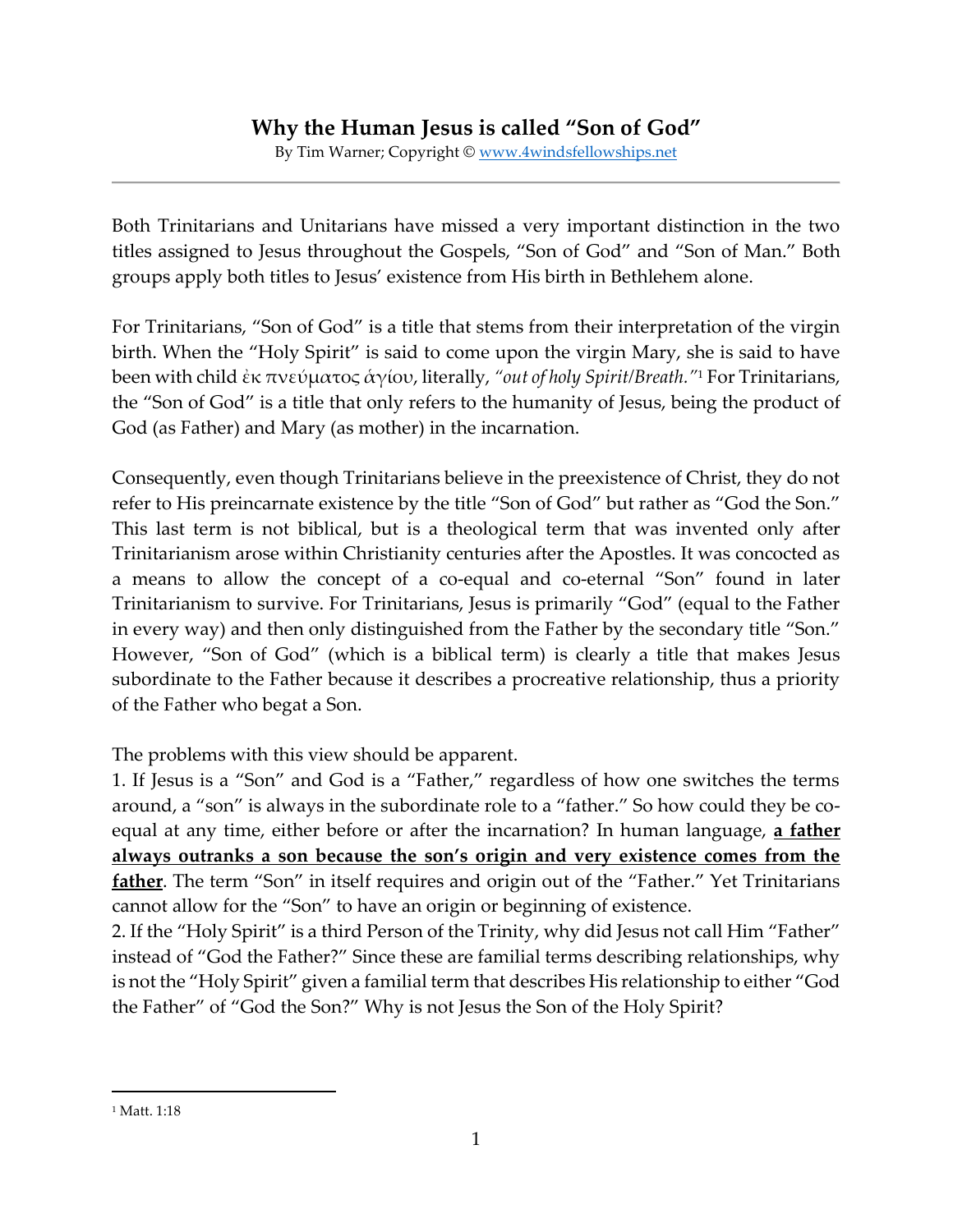By Tim Warner; Copyright © [www.4windsfellowships.net](http://www.4windsfellowships.net/)

Both Trinitarians and Unitarians have missed a very important distinction in the two titles assigned to Jesus throughout the Gospels, "Son of God" and "Son of Man." Both groups apply both titles to Jesus' existence from His birth in Bethlehem alone.

For Trinitarians, "Son of God" is a title that stems from their interpretation of the virgin birth. When the "Holy Spirit" is said to come upon the virgin Mary, she is said to have been with child ἐκ πνεύματος ἁγίου, literally, *"out of holy Spirit/Breath."*<sup>1</sup> For Trinitarians, the "Son of God" is a title that only refers to the humanity of Jesus, being the product of God (as Father) and Mary (as mother) in the incarnation.

Consequently, even though Trinitarians believe in the preexistence of Christ, they do not refer to His preincarnate existence by the title "Son of God" but rather as "God the Son." This last term is not biblical, but is a theological term that was invented only after Trinitarianism arose within Christianity centuries after the Apostles. It was concocted as a means to allow the concept of a co-equal and co-eternal "Son" found in later Trinitarianism to survive. For Trinitarians, Jesus is primarily "God" (equal to the Father in every way) and then only distinguished from the Father by the secondary title "Son." However, "Son of God" (which is a biblical term) is clearly a title that makes Jesus subordinate to the Father because it describes a procreative relationship, thus a priority of the Father who begat a Son.

The problems with this view should be apparent.

1. If Jesus is a "Son" and God is a "Father," regardless of how one switches the terms around, a "son" is always in the subordinate role to a "father." So how could they be coequal at any time, either before or after the incarnation? In human language, **a father always outranks a son because the son's origin and very existence comes from the father**. The term "Son" in itself requires and origin out of the "Father." Yet Trinitarians cannot allow for the "Son" to have an origin or beginning of existence.

2. If the "Holy Spirit" is a third Person of the Trinity, why did Jesus not call Him "Father" instead of "God the Father?" Since these are familial terms describing relationships, why is not the "Holy Spirit" given a familial term that describes His relationship to either "God the Father" of "God the Son?" Why is not Jesus the Son of the Holy Spirit?

<sup>&</sup>lt;sup>1</sup> Matt. 1:18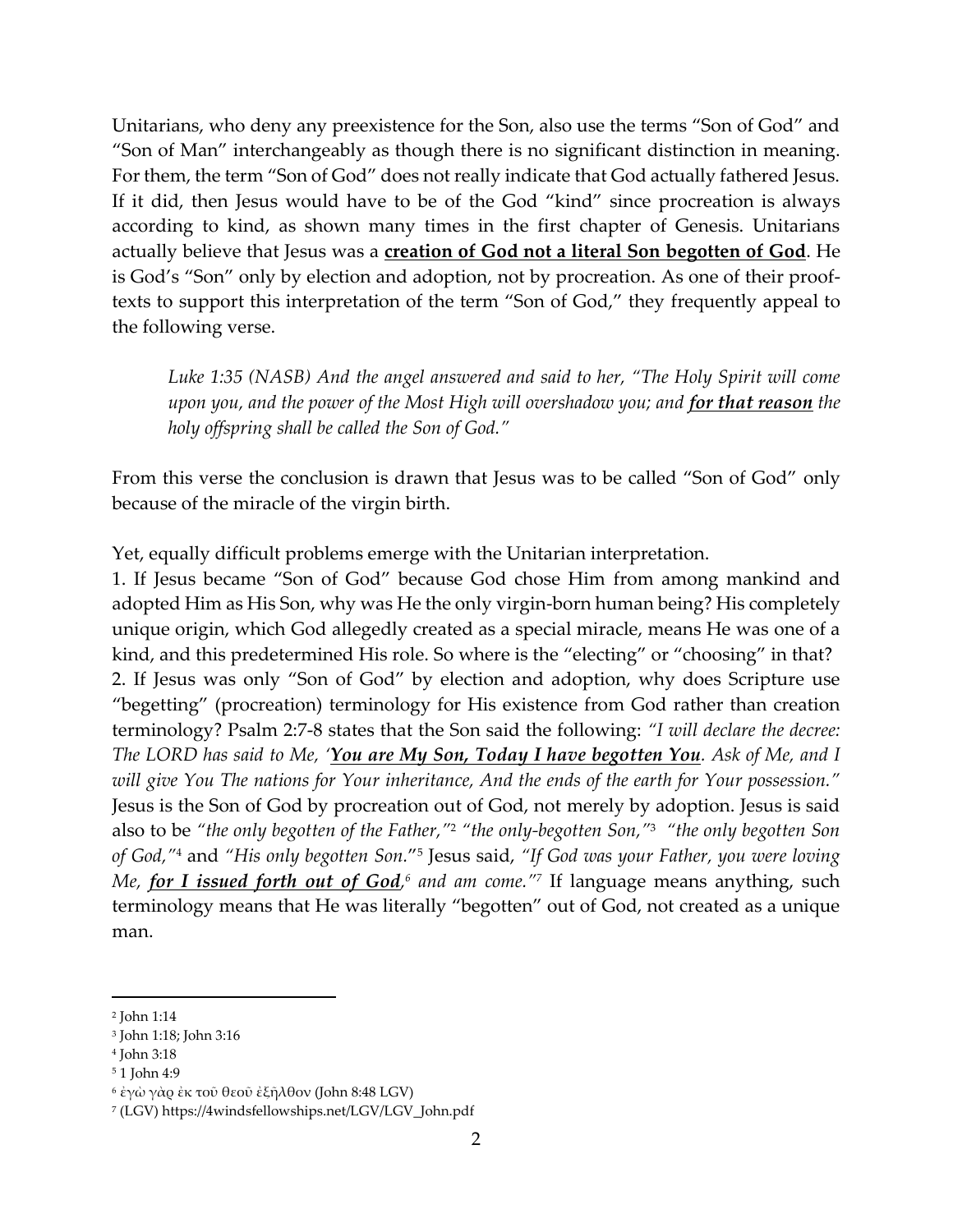Unitarians, who deny any preexistence for the Son, also use the terms "Son of God" and "Son of Man" interchangeably as though there is no significant distinction in meaning. For them, the term "Son of God" does not really indicate that God actually fathered Jesus. If it did, then Jesus would have to be of the God "kind" since procreation is always according to kind, as shown many times in the first chapter of Genesis. Unitarians actually believe that Jesus was a **creation of God not a literal Son begotten of God**. He is God's "Son" only by election and adoption, not by procreation. As one of their prooftexts to support this interpretation of the term "Son of God," they frequently appeal to the following verse.

*Luke 1:35 (NASB) And the angel answered and said to her, "The Holy Spirit will come upon you, and the power of the Most High will overshadow you; and for that reason the holy offspring shall be called the Son of God."*

From this verse the conclusion is drawn that Jesus was to be called "Son of God" only because of the miracle of the virgin birth.

Yet, equally difficult problems emerge with the Unitarian interpretation.

1. If Jesus became "Son of God" because God chose Him from among mankind and adopted Him as His Son, why was He the only virgin-born human being? His completely unique origin, which God allegedly created as a special miracle, means He was one of a kind, and this predetermined His role. So where is the "electing" or "choosing" in that? 2. If Jesus was only "Son of God" by election and adoption, why does Scripture use "begetting" (procreation) terminology for His existence from God rather than creation terminology? Psalm 2:7-8 states that the Son said the following: *"I will declare the decree: The LORD has said to Me, 'You are My Son, Today I have begotten You. Ask of Me, and I will give You The nations for Your inheritance, And the ends of the earth for Your possession."* Jesus is the Son of God by procreation out of God, not merely by adoption. Jesus is said also to be *"the only begotten of the Father,"*<sup>2</sup> *"the only-begotten Son,"* <sup>3</sup> *"the only begotten Son of God,"*<sup>4</sup> and *"His only begotten Son.*" 5 Jesus said, *"If God was your Father, you were loving Me, <u>for I issued forth out of God</u>,<sup>6</sup> and am come.''<sup>7</sup> If language means anything, such* terminology means that He was literally "begotten" out of God, not created as a unique man.

<sup>2</sup> John 1:14

<sup>3</sup> John 1:18; John 3:16

<sup>4</sup> John 3:18

<sup>5</sup> 1 John 4:9

<sup>6</sup> ἐγὼ γὰρ ἐκ τοῦ θεοῦ ἐξῆλθον (John 8:48 LGV)

<sup>7</sup> (LGV) https://4windsfellowships.net/LGV/LGV\_John.pdf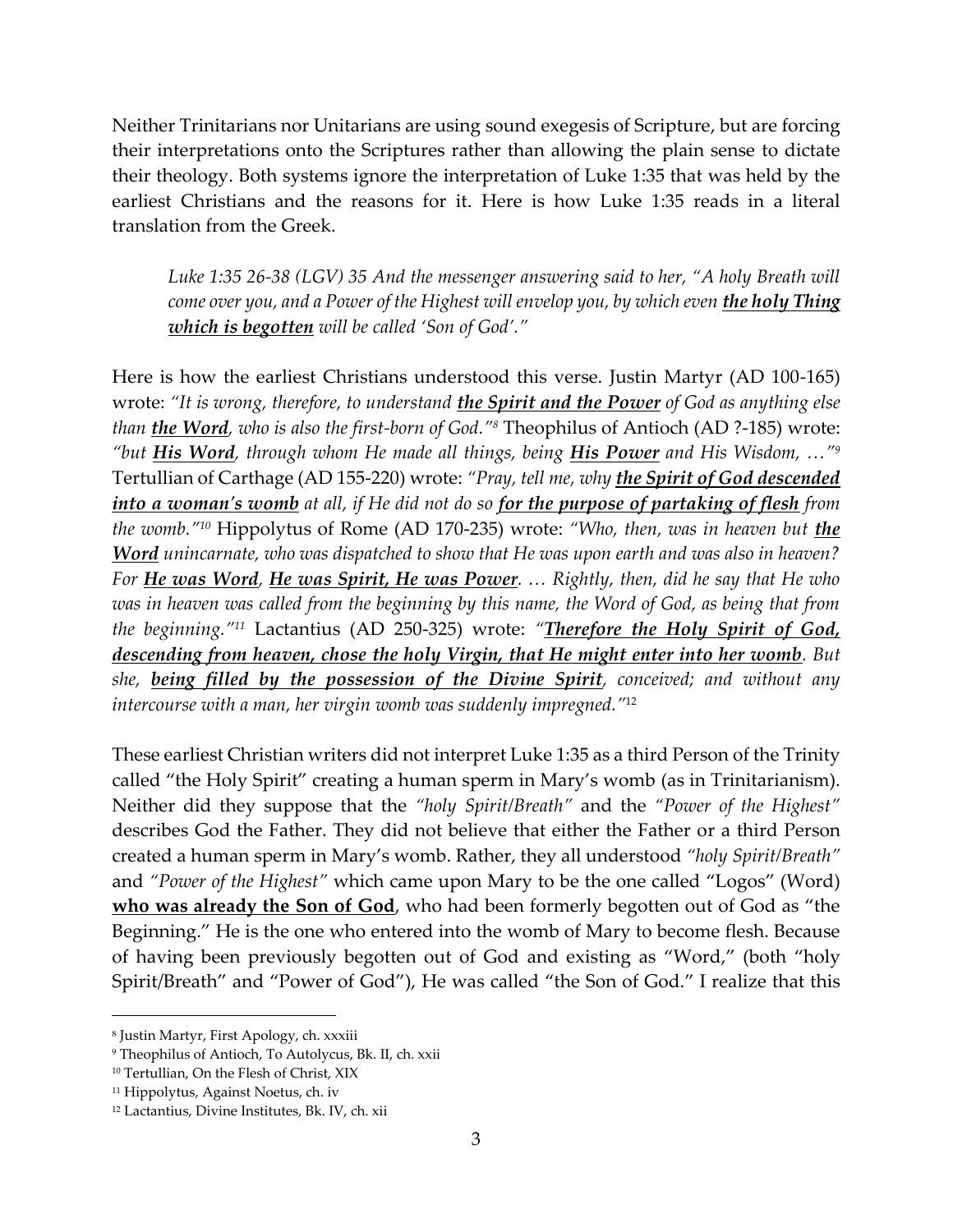Neither Trinitarians nor Unitarians are using sound exegesis of Scripture, but are forcing their interpretations onto the Scriptures rather than allowing the plain sense to dictate their theology. Both systems ignore the interpretation of Luke 1:35 that was held by the earliest Christians and the reasons for it. Here is how Luke 1:35 reads in a literal translation from the Greek.

*Luke 1:35 26-38 (LGV) 35 And the messenger answering said to her, "A holy Breath will*  come over you, and a Power of the Highest will envelop you, by which even **the holy Thing** *which is begotten will be called 'Son of God'."*

Here is how the earliest Christians understood this verse. Justin Martyr (AD 100-165) wrote: *"It is wrong, therefore, to understand the Spirit and the Power of God as anything else than the Word, who is also the first-born of God."<sup>8</sup>* Theophilus of Antioch (AD ?-185) wrote: *"but His Word, through whom He made all things, being His Power and His Wisdom, …"<sup>9</sup>* Tertullian of Carthage (AD 155-220) wrote: *"Pray, tell me, why the Spirit of God descended into a woman's womb at all, if He did not do so for the purpose of partaking of flesh from the womb."<sup>10</sup>* Hippolytus of Rome (AD 170-235) wrote: *"Who, then, was in heaven but the Word unincarnate, who was dispatched to show that He was upon earth and was also in heaven? For He was Word, He was Spirit, He was Power. … Rightly, then, did he say that He who was in heaven was called from the beginning by this name, the Word of God, as being that from the beginning."<sup>11</sup>* Lactantius (AD 250-325) wrote: *"Therefore the Holy Spirit of God, descending from heaven, chose the holy Virgin, that He might enter into her womb. But she, being filled by the possession of the Divine Spirit, conceived; and without any intercourse with a man, her virgin womb was suddenly impregned."*<sup>12</sup>

These earliest Christian writers did not interpret Luke 1:35 as a third Person of the Trinity called "the Holy Spirit" creating a human sperm in Mary's womb (as in Trinitarianism). Neither did they suppose that the *"holy Spirit/Breath"* and the *"Power of the Highest"* describes God the Father. They did not believe that either the Father or a third Person created a human sperm in Mary's womb. Rather, they all understood *"holy Spirit/Breath"* and *"Power of the Highest"* which came upon Mary to be the one called "Logos" (Word) **who was already the Son of God**, who had been formerly begotten out of God as "the Beginning." He is the one who entered into the womb of Mary to become flesh. Because of having been previously begotten out of God and existing as "Word," (both "holy Spirit/Breath" and "Power of God"), He was called "the Son of God." I realize that this

<sup>8</sup> Justin Martyr, First Apology, ch. xxxiii

<sup>9</sup> Theophilus of Antioch, To Autolycus, Bk. II, ch. xxii

<sup>10</sup> Tertullian, On the Flesh of Christ, XIX

<sup>11</sup> Hippolytus, Against Noetus, ch. iv

<sup>12</sup> Lactantius, Divine Institutes, Bk. IV, ch. xii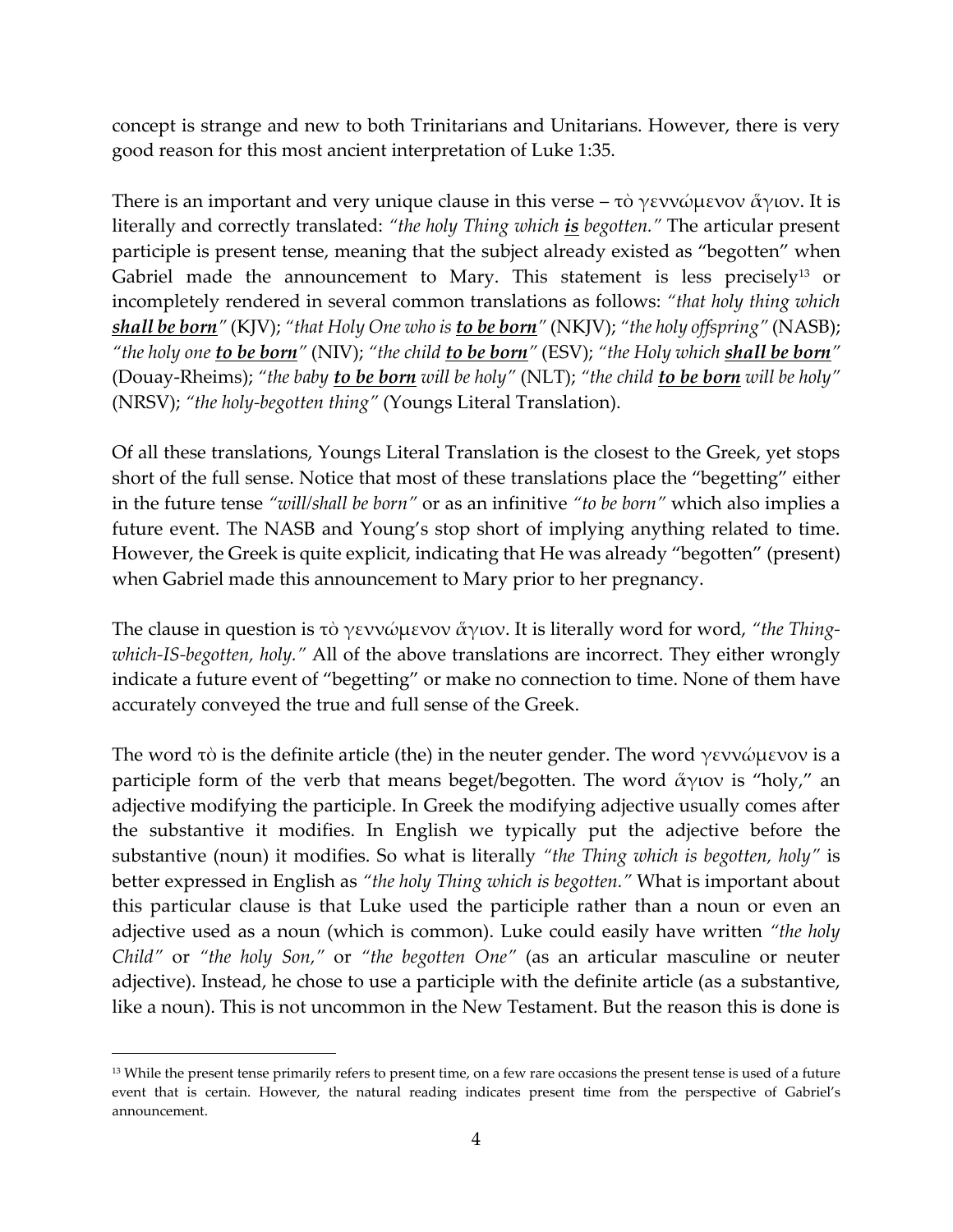concept is strange and new to both Trinitarians and Unitarians. However, there is very good reason for this most ancient interpretation of Luke 1:35.

There is an important and very unique clause in this verse – τὸ γεννώμενον ἄγιον. It is literally and correctly translated: *"the holy Thing which is begotten."* The articular present participle is present tense, meaning that the subject already existed as "begotten" when Gabriel made the announcement to Mary. This statement is less precisely<sup>13</sup> or incompletely rendered in several common translations as follows: *"that holy thing which shall be born"* (KJV); *"that Holy One who is to be born"* (NKJV); *"the holy offspring"* (NASB); *"the holy one to be born"* (NIV); *"the child to be born"* (ESV); *"the Holy which shall be born"* (Douay-Rheims); *"the baby to be born will be holy"* (NLT); *"the child to be born will be holy"* (NRSV); *"the holy-begotten thing"* (Youngs Literal Translation).

Of all these translations, Youngs Literal Translation is the closest to the Greek, yet stops short of the full sense. Notice that most of these translations place the "begetting" either in the future tense *"will/shall be born"* or as an infinitive *"to be born"* which also implies a future event. The NASB and Young's stop short of implying anything related to time. However, the Greek is quite explicit, indicating that He was already "begotten" (present) when Gabriel made this announcement to Mary prior to her pregnancy.

The clause in question is τὸ γεννώμενον ἅγιον. It is literally word for word, *"the Thingwhich-IS-begotten, holy."* All of the above translations are incorrect. They either wrongly indicate a future event of "begetting" or make no connection to time. None of them have accurately conveyed the true and full sense of the Greek.

The word τὸ is the definite article (the) in the neuter gender. The word γεννώμενον is a participle form of the verb that means beget/begotten. The word  $\overset{\circ}{\alpha}$ γιον is "holy," an adjective modifying the participle. In Greek the modifying adjective usually comes after the substantive it modifies. In English we typically put the adjective before the substantive (noun) it modifies. So what is literally *"the Thing which is begotten, holy"* is better expressed in English as *"the holy Thing which is begotten."* What is important about this particular clause is that Luke used the participle rather than a noun or even an adjective used as a noun (which is common). Luke could easily have written *"the holy Child"* or *"the holy Son,"* or *"the begotten One"* (as an articular masculine or neuter adjective). Instead, he chose to use a participle with the definite article (as a substantive, like a noun). This is not uncommon in the New Testament. But the reason this is done is

<sup>&</sup>lt;sup>13</sup> While the present tense primarily refers to present time, on a few rare occasions the present tense is used of a future event that is certain. However, the natural reading indicates present time from the perspective of Gabriel's announcement.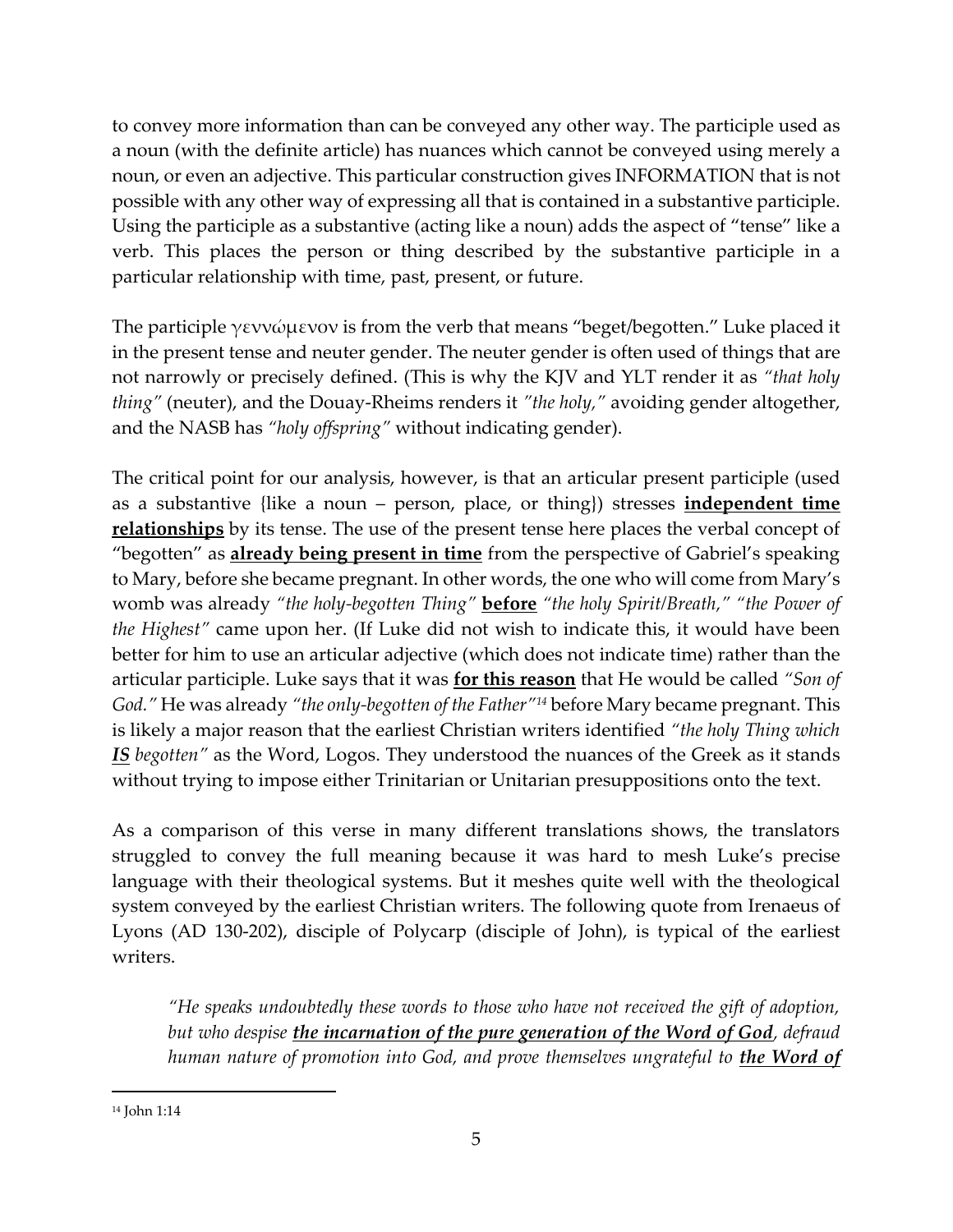to convey more information than can be conveyed any other way. The participle used as a noun (with the definite article) has nuances which cannot be conveyed using merely a noun, or even an adjective. This particular construction gives INFORMATION that is not possible with any other way of expressing all that is contained in a substantive participle. Using the participle as a substantive (acting like a noun) adds the aspect of "tense" like a verb. This places the person or thing described by the substantive participle in a particular relationship with time, past, present, or future.

The participle γεννώμενον is from the verb that means "beget/begotten." Luke placed it in the present tense and neuter gender. The neuter gender is often used of things that are not narrowly or precisely defined. (This is why the KJV and YLT render it as *"that holy thing"* (neuter), and the Douay-Rheims renders it *"the holy,"* avoiding gender altogether, and the NASB has *"holy offspring"* without indicating gender).

The critical point for our analysis, however, is that an articular present participle (used as a substantive {like a noun – person, place, or thing}) stresses **independent time relationships** by its tense. The use of the present tense here places the verbal concept of "begotten" as **already being present in time** from the perspective of Gabriel's speaking to Mary, before she became pregnant. In other words, the one who will come from Mary's womb was already *"the holy-begotten Thing"* **before** *"the holy Spirit/Breath," "the Power of the Highest"* came upon her. (If Luke did not wish to indicate this, it would have been better for him to use an articular adjective (which does not indicate time) rather than the articular participle. Luke says that it was **for this reason** that He would be called *"Son of God."* He was already *"the only-begotten of the Father"<sup>14</sup>* before Mary became pregnant. This is likely a major reason that the earliest Christian writers identified *"the holy Thing which IS begotten"* as the Word, Logos. They understood the nuances of the Greek as it stands without trying to impose either Trinitarian or Unitarian presuppositions onto the text.

As a comparison of this verse in many different translations shows, the translators struggled to convey the full meaning because it was hard to mesh Luke's precise language with their theological systems. But it meshes quite well with the theological system conveyed by the earliest Christian writers. The following quote from Irenaeus of Lyons (AD 130-202), disciple of Polycarp (disciple of John), is typical of the earliest writers.

*"He speaks undoubtedly these words to those who have not received the gift of adoption, but who despise the incarnation of the pure generation of the Word of God, defraud human nature of promotion into God, and prove themselves ungrateful to the Word of* 

<sup>14</sup> John 1:14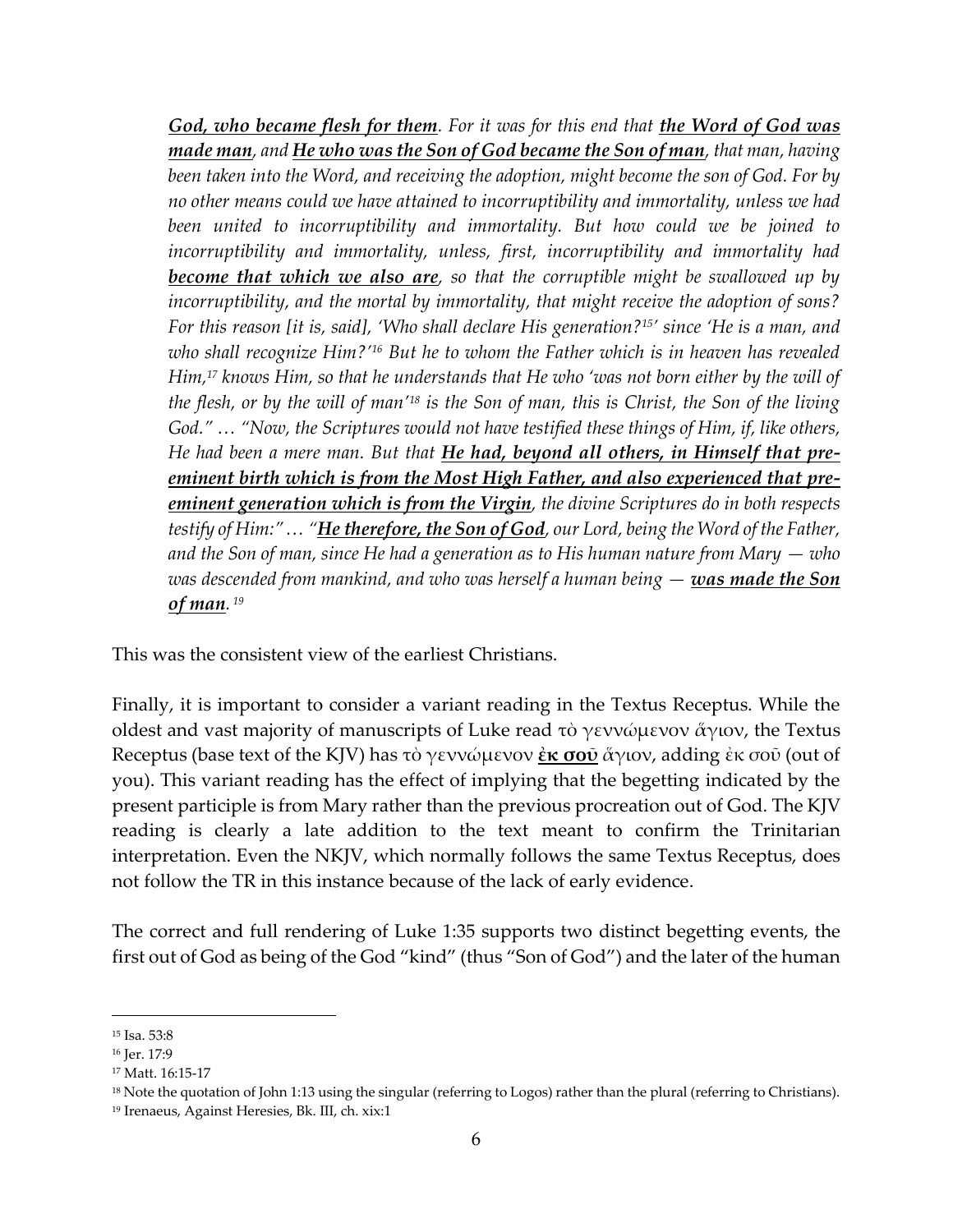*God, who became flesh for them. For it was for this end that the Word of God was made man, and He who was the Son of God became the Son of man, that man, having been taken into the Word, and receiving the adoption, might become the son of God. For by no other means could we have attained to incorruptibility and immortality, unless we had*  been united to incorruptibility and immortality. But how could we be joined to *incorruptibility and immortality, unless, first, incorruptibility and immortality had become that which we also are, so that the corruptible might be swallowed up by incorruptibility, and the mortal by immortality, that might receive the adoption of sons? For this reason [it is, said], 'Who shall declare His generation?15' since 'He is a man, and who shall recognize Him?'<sup>16</sup> But he to whom the Father which is in heaven has revealed Him,<sup>17</sup> knows Him, so that he understands that He who 'was not born either by the will of the flesh, or by the will of man'<sup>18</sup> is the Son of man, this is Christ, the Son of the living God." … "Now, the Scriptures would not have testified these things of Him, if, like others, He had been a mere man. But that He had, beyond all others, in Himself that preeminent birth which is from the Most High Father, and also experienced that preeminent generation which is from the Virgin, the divine Scriptures do in both respects testify of Him:"… "He therefore, the Son of God, our Lord, being the Word of the Father, and the Son of man, since He had a generation as to His human nature from Mary — who was descended from mankind, and who was herself a human being — was made the Son of man. 19*

This was the consistent view of the earliest Christians.

Finally, it is important to consider a variant reading in the Textus Receptus. While the oldest and vast majority of manuscripts of Luke read τὸ γεννώμενον ἄγιον, the Textus Receptus (base text of the KJV) has τὸ γεννώμενον **ἐκ σοῦ** ἅγιον, adding ἐκ σοῦ (out of you). This variant reading has the effect of implying that the begetting indicated by the present participle is from Mary rather than the previous procreation out of God. The KJV reading is clearly a late addition to the text meant to confirm the Trinitarian interpretation. Even the NKJV, which normally follows the same Textus Receptus, does not follow the TR in this instance because of the lack of early evidence.

The correct and full rendering of Luke 1:35 supports two distinct begetting events, the first out of God as being of the God "kind" (thus "Son of God") and the later of the human

<sup>15</sup> Isa. 53:8

<sup>16</sup> Jer. 17:9

<sup>17</sup> Matt. 16:15-17

<sup>&</sup>lt;sup>18</sup> Note the quotation of John 1:13 using the singular (referring to Logos) rather than the plural (referring to Christians).

<sup>19</sup> Irenaeus, Against Heresies, Bk. III, ch. xix:1